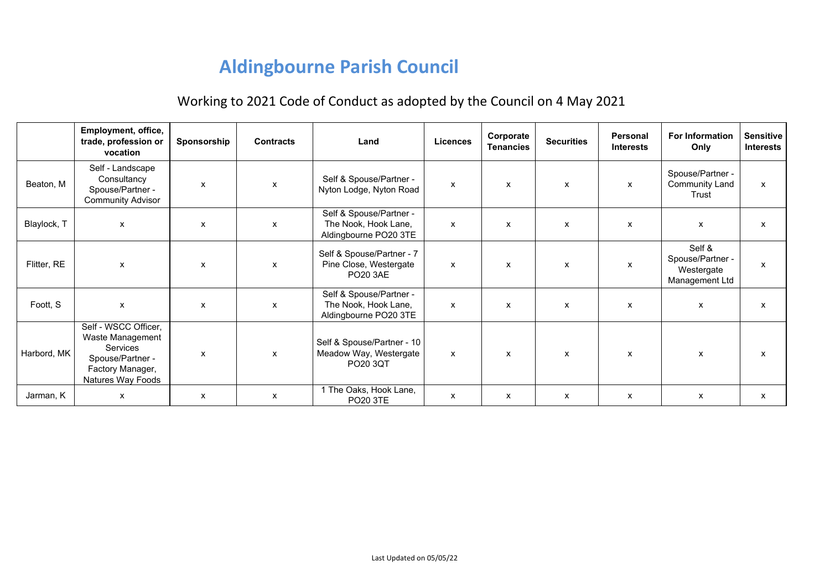## **Aldingbourne Parish Council**

## Working to 2021 Code of Conduct as adopted by the Council on 4 May 2021

|             | Employment, office,<br>trade, profession or<br>vocation                                                                  | Sponsorship | <b>Contracts</b> | Land                                                                     | Licences     | Corporate<br><b>Tenancies</b> | <b>Securities</b>         | <b>Personal</b><br><b>Interests</b> | <b>For Information</b><br>Only                             | <b>Sensitive</b><br><b>Interests</b> |
|-------------|--------------------------------------------------------------------------------------------------------------------------|-------------|------------------|--------------------------------------------------------------------------|--------------|-------------------------------|---------------------------|-------------------------------------|------------------------------------------------------------|--------------------------------------|
| Beaton, M   | Self - Landscape<br>Consultancy<br>Spouse/Partner -<br><b>Community Advisor</b>                                          | X           | x                | Self & Spouse/Partner -<br>Nyton Lodge, Nyton Road                       | $\mathsf{x}$ | $\boldsymbol{\mathsf{x}}$     | $\mathsf{x}$              | $\mathsf{x}$                        | Spouse/Partner -<br><b>Community Land</b><br>Trust         | $\pmb{\mathsf{X}}$                   |
| Blaylock, T | X                                                                                                                        | x           | X                | Self & Spouse/Partner -<br>The Nook, Hook Lane,<br>Aldingbourne PO20 3TE | X            | $\boldsymbol{\mathsf{x}}$     | $\boldsymbol{\mathsf{x}}$ | $\boldsymbol{\mathsf{x}}$           | X                                                          | $\mathsf{x}$                         |
| Flitter, RE | X                                                                                                                        | X           | X                | Self & Spouse/Partner - 7<br>Pine Close, Westergate<br><b>PO20 3AE</b>   | x            | X                             | X                         | X                                   | Self &<br>Spouse/Partner -<br>Westergate<br>Management Ltd | $\mathsf{x}$                         |
| Foott, S    | X                                                                                                                        | x           | x                | Self & Spouse/Partner -<br>The Nook, Hook Lane,<br>Aldingbourne PO20 3TE | x            | X                             | $\boldsymbol{\mathsf{x}}$ | X                                   | X                                                          | $\mathsf{x}$                         |
| Harbord, MK | Self - WSCC Officer,<br>Waste Management<br><b>Services</b><br>Spouse/Partner -<br>Factory Manager,<br>Natures Way Foods | X           | $\mathsf{x}$     | Self & Spouse/Partner - 10<br>Meadow Way, Westergate<br>PO20 3QT         | $\mathsf{x}$ | $\boldsymbol{\mathsf{x}}$     | $\mathsf{x}$              | $\mathsf{x}$                        | $\mathsf{x}$                                               | $\mathsf{x}$                         |
| Jarman, K   | X                                                                                                                        | x           | X                | 1 The Oaks, Hook Lane,<br><b>PO20 3TE</b>                                | X            | X                             | X                         | x                                   | X                                                          | X                                    |